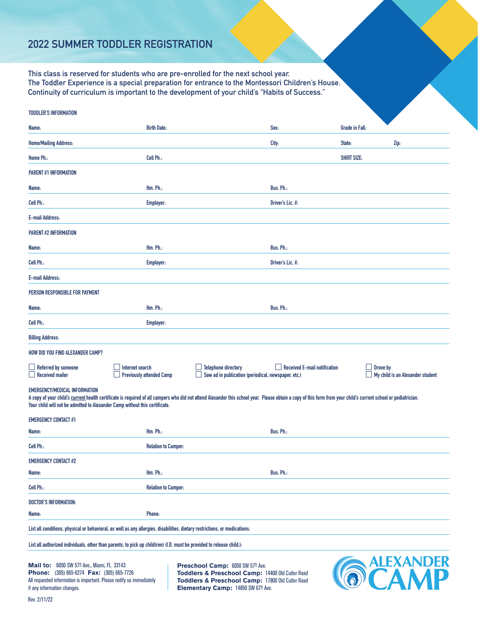## **2022 SUMMER TODDLER REGISTRATION**

**This class is reserved for students who are pre-enrolled for the next school year. The Toddler Experience is a special preparation for entrance to the Montessori Children's House. Continuity of curriculum is important to the development of your child's "Habits of Success."**

| <b>TODDLER'S INFORMATION</b>                                                                                                                                                                                                                                                                                                                                                                                               |                                 |                                                                                   |                                     |                       |                                  |
|----------------------------------------------------------------------------------------------------------------------------------------------------------------------------------------------------------------------------------------------------------------------------------------------------------------------------------------------------------------------------------------------------------------------------|---------------------------------|-----------------------------------------------------------------------------------|-------------------------------------|-----------------------|----------------------------------|
| Name:                                                                                                                                                                                                                                                                                                                                                                                                                      | <b>Birth Date:</b>              |                                                                                   | Sex:                                | <b>Grade in Fall:</b> |                                  |
| <b>Home/Mailing Address:</b>                                                                                                                                                                                                                                                                                                                                                                                               |                                 |                                                                                   | City:                               | State:                | Zip:                             |
| Home Ph.:                                                                                                                                                                                                                                                                                                                                                                                                                  | Cell Ph.:                       |                                                                                   |                                     | <b>SHIRT SIZE:</b>    |                                  |
| <b>PARENT #1 INFORMATION</b>                                                                                                                                                                                                                                                                                                                                                                                               |                                 |                                                                                   |                                     |                       |                                  |
| Name:                                                                                                                                                                                                                                                                                                                                                                                                                      | Hm. Ph.:                        |                                                                                   | Bus. Ph.:                           |                       |                                  |
| Cell Ph.:                                                                                                                                                                                                                                                                                                                                                                                                                  | <b>Employer:</b>                |                                                                                   | Driver's Lic. #:                    |                       |                                  |
| <b>E-mail Address:</b>                                                                                                                                                                                                                                                                                                                                                                                                     |                                 |                                                                                   |                                     |                       |                                  |
| <b>PARENT #2 INFORMATION</b>                                                                                                                                                                                                                                                                                                                                                                                               |                                 |                                                                                   |                                     |                       |                                  |
| Name:                                                                                                                                                                                                                                                                                                                                                                                                                      | Hm. Ph.:                        |                                                                                   | Bus. Ph.:                           |                       |                                  |
| Cell Ph.:                                                                                                                                                                                                                                                                                                                                                                                                                  | Employer:                       |                                                                                   | Driver's Lic. #:                    |                       |                                  |
| <b>E-mail Address:</b>                                                                                                                                                                                                                                                                                                                                                                                                     |                                 |                                                                                   |                                     |                       |                                  |
| PERSON RESPONSIBLE FOR PAYMENT                                                                                                                                                                                                                                                                                                                                                                                             |                                 |                                                                                   |                                     |                       |                                  |
| Name:                                                                                                                                                                                                                                                                                                                                                                                                                      | Hm. Ph.:                        |                                                                                   | Bus. Ph.:                           |                       |                                  |
| Cell Ph.:                                                                                                                                                                                                                                                                                                                                                                                                                  | <b>Employer:</b>                |                                                                                   |                                     |                       |                                  |
| <b>Billing Address:</b>                                                                                                                                                                                                                                                                                                                                                                                                    |                                 |                                                                                   |                                     |                       |                                  |
| <b>HOW DID YOU FIND ALEXANDER CAMP?</b>                                                                                                                                                                                                                                                                                                                                                                                    |                                 |                                                                                   |                                     |                       |                                  |
| <b>Referred by someone</b><br>Internet search<br><b>Received mailer</b>                                                                                                                                                                                                                                                                                                                                                    | <b>Previously attended Camp</b> | <b>Telephone directory</b><br>Saw ad in publication (periodical, newspaper, etc.) | $\Box$ Received E-mail notification | Drove by              | My child is an Alexander student |
| <b>EMERGENCY/MEDICAL INFORMATION</b><br>A copy of your child's current health certificate is required of all campers who did not attend Alexander this school year. Please obtain a copy of this form from your child's current school or pediatrician.<br>Your child will not be admitted to Alexander Camp without this certificate.                                                                                     |                                 |                                                                                   |                                     |                       |                                  |
| <b>EMERGENCY CONTACT #1</b>                                                                                                                                                                                                                                                                                                                                                                                                |                                 |                                                                                   |                                     |                       |                                  |
| Name:                                                                                                                                                                                                                                                                                                                                                                                                                      | Hm. Ph.:                        |                                                                                   | Bus. Ph.:                           |                       |                                  |
| Cell Ph.:                                                                                                                                                                                                                                                                                                                                                                                                                  | <b>Relation to Camper:</b>      |                                                                                   |                                     |                       |                                  |
| <b>EMERGENCY CONTACT #2</b>                                                                                                                                                                                                                                                                                                                                                                                                |                                 |                                                                                   |                                     |                       |                                  |
| Name:                                                                                                                                                                                                                                                                                                                                                                                                                      | Hm. Ph.:                        |                                                                                   | Bus. Ph.:                           |                       |                                  |
| Cell Ph.:                                                                                                                                                                                                                                                                                                                                                                                                                  | <b>Relation to Camper:</b>      |                                                                                   |                                     |                       |                                  |
| <b>DOCTOR'S INFORMATION:</b>                                                                                                                                                                                                                                                                                                                                                                                               |                                 |                                                                                   |                                     |                       |                                  |
| Name:                                                                                                                                                                                                                                                                                                                                                                                                                      | Phone:                          |                                                                                   |                                     |                       |                                  |
| List all conditions, physical or behavioral, as well as any allergies, disabilities, dietary restrictions, or medications:                                                                                                                                                                                                                                                                                                 |                                 |                                                                                   |                                     |                       |                                  |
| List all authorized individuals, other than parents, to pick up child(ren) (I.D. must be provided to release child.):                                                                                                                                                                                                                                                                                                      |                                 |                                                                                   |                                     |                       |                                  |
| <b>ALEXANDER</b><br><b>Mail to:</b> 6050 SW 57 <sup>th</sup> Ave., Miami, FL 33143<br>Preschool Camp: 6050 SW 57th Ave.<br>Phone: (305) 665-6274 Fax: (305) 665-7726<br>Toddlers & Preschool Camp: 14400 Old Cutler Road<br>Toddlers & Preschool Camp: 17800 Old Cutler Road<br>All requested information is important. Please notify us immediately<br>if any information changes.<br>Elementary Camp: 14850 SW 67th Ave. |                                 |                                                                                   |                                     |                       |                                  |